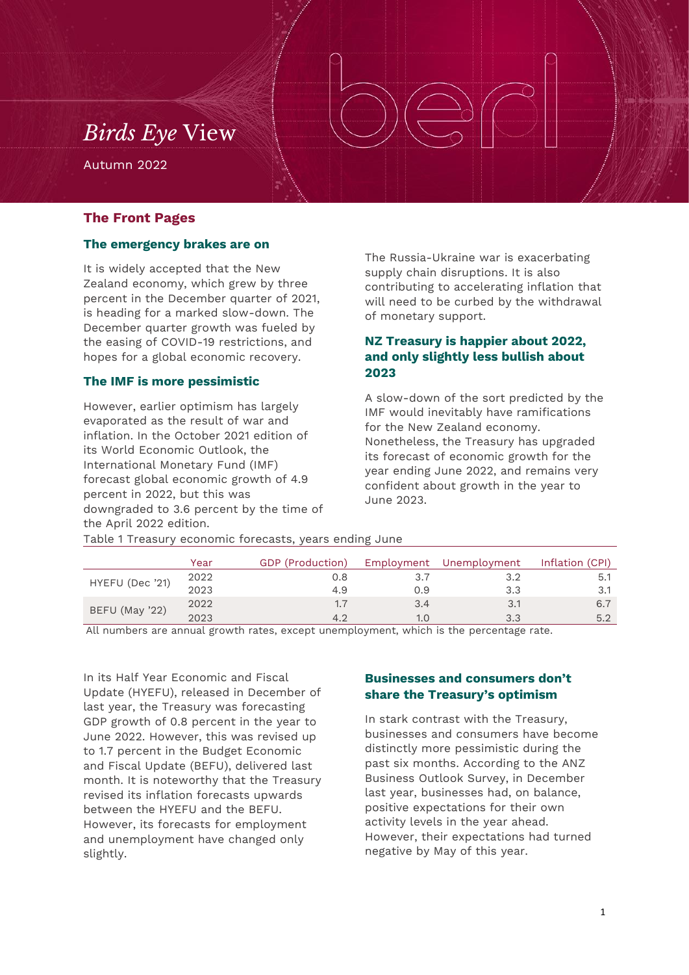## *Birds Eye* View

Autumn 2022

#### **The Front Pages**

#### **The emergency brakes are on**

It is widely accepted that the New Zealand economy, which grew by three percent in the December quarter of 2021, is heading for a marked slow-down. The December quarter growth was fueled by the easing of COVID-19 restrictions, and hopes for a global economic recovery.

#### **The IMF is more pessimistic**

However, earlier optimism has largely evaporated as the result of war and inflation. In the October 2021 edition of its World Economic Outlook, the International Monetary Fund (IMF) forecast global economic growth of 4.9 percent in 2022, but this was downgraded to 3.6 percent by the time of the April 2022 edition.

The Russia-Ukraine war is exacerbating supply chain disruptions. It is also contributing to accelerating inflation that will need to be curbed by the withdrawal of monetary support.

## **NZ Treasury is happier about 2022, and only slightly less bullish about 2023**

A slow-down of the sort predicted by the IMF would inevitably have ramifications for the New Zealand economy. Nonetheless, the Treasury has upgraded its forecast of economic growth for the year ending June 2022, and remains very confident about growth in the year to June 2023.

| Table 1 Treasury economic forecasts, years ending June |  |  |  |
|--------------------------------------------------------|--|--|--|
|                                                        |  |  |  |

|                 | Year | GDP (Production) | Employment | Unemployment | Inflation (CPI) |
|-----------------|------|------------------|------------|--------------|-----------------|
| HYEFU (Dec '21) | 2022 | J.8              |            |              |                 |
|                 | 2023 | 4.9              | J.9        | 3.3          |                 |
| BEFU (May '22)  | 2022 | 1.7              | 3.4        | 3.1          | 6.7             |
|                 | 2023 |                  | 1.0        | 3.3          | 5.2             |

All numbers are annual growth rates, except unemployment, which is the percentage rate.

In its Half Year Economic and Fiscal Update (HYEFU), released in December of last year, the Treasury was forecasting GDP growth of 0.8 percent in the year to June 2022. However, this was revised up to 1.7 percent in the Budget Economic and Fiscal Update (BEFU), delivered last month. It is noteworthy that the Treasury revised its inflation forecasts upwards between the HYEFU and the BEFU. However, its forecasts for employment and unemployment have changed only slightly.

## **Businesses and consumers don't share the Treasury's optimism**

In stark contrast with the Treasury, businesses and consumers have become distinctly more pessimistic during the past six months. According to the ANZ Business Outlook Survey, in December last year, businesses had, on balance, positive expectations for their own activity levels in the year ahead. However, their expectations had turned negative by May of this year.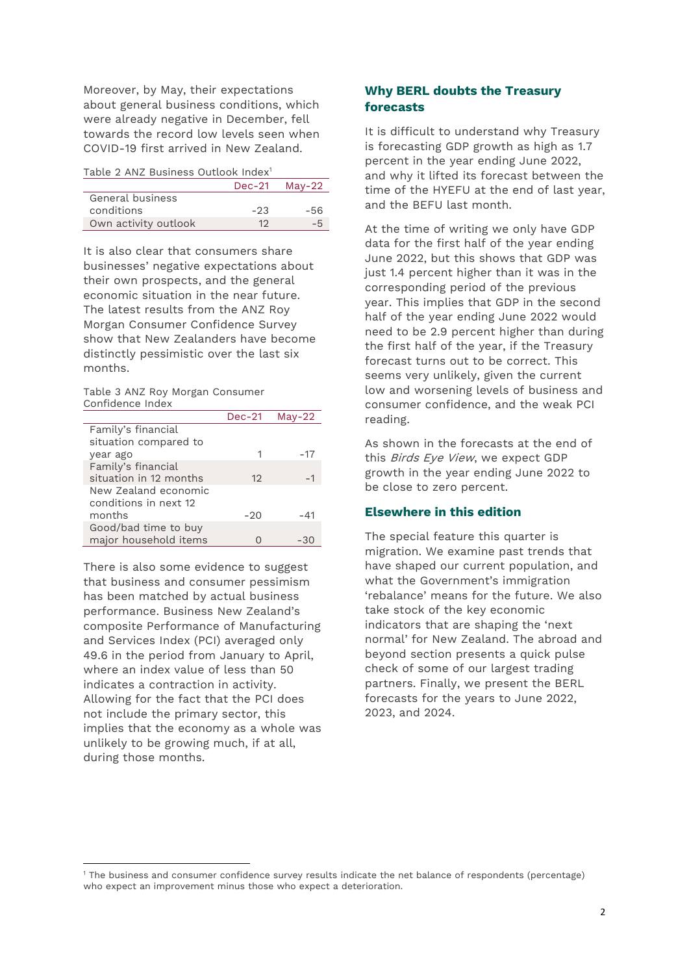Moreover, by May, their expectations about general business conditions, which were already negative in December, fell towards the record low levels seen when COVID-19 first arrived in New Zealand.

| Table 2 ANZ Business Outlook Index <sup>1</sup> |  |  |  |
|-------------------------------------------------|--|--|--|
|-------------------------------------------------|--|--|--|

|                      |       | $Dec-21$ May-22 |
|----------------------|-------|-----------------|
| General business     |       |                 |
| conditions           | $-23$ | -56             |
| Own activity outlook | 10    |                 |

It is also clear that consumers share businesses' negative expectations about their own prospects, and the general economic situation in the near future. The latest results from the ANZ Roy Morgan Consumer Confidence Survey show that New Zealanders have become distinctly pessimistic over the last six months.

Table 3 ANZ Roy Morgan Consumer Confidence Index

|                                               | $Dec-21$ | $Mav-22$ |
|-----------------------------------------------|----------|----------|
| Family's financial                            |          |          |
| situation compared to                         |          |          |
| year ago                                      |          | -17      |
| Family's financial                            |          |          |
| situation in 12 months                        | 12       |          |
| New Zealand economic<br>conditions in next 12 |          |          |
| months                                        | $-20$    | -41      |
| Good/bad time to buy<br>major household items |          | -30      |
|                                               |          |          |

There is also some evidence to suggest that business and consumer pessimism has been matched by actual business performance. Business New Zealand's composite Performance of Manufacturing and Services Index (PCI) averaged only 49.6 in the period from January to April, where an index value of less than 50 indicates a contraction in activity. Allowing for the fact that the PCI does not include the primary sector, this implies that the economy as a whole was unlikely to be growing much, if at all, during those months.

 $\overline{\phantom{a}}$ 

#### **Why BERL doubts the Treasury forecasts**

It is difficult to understand why Treasury is forecasting GDP growth as high as 1.7 percent in the year ending June 2022, and why it lifted its forecast between the time of the HYEFU at the end of last year, and the BEFU last month.

At the time of writing we only have GDP data for the first half of the year ending June 2022, but this shows that GDP was just 1.4 percent higher than it was in the corresponding period of the previous year. This implies that GDP in the second half of the year ending June 2022 would need to be 2.9 percent higher than during the first half of the year, if the Treasury forecast turns out to be correct. This seems very unlikely, given the current low and worsening levels of business and consumer confidence, and the weak PCI reading.

As shown in the forecasts at the end of this Birds Eye View, we expect GDP growth in the year ending June 2022 to be close to zero percent.

#### **Elsewhere in this edition**

The special feature this quarter is migration. We examine past trends that have shaped our current population, and what the Government's immigration 'rebalance' means for the future. We also take stock of the key economic indicators that are shaping the 'next normal' for New Zealand. The abroad and beyond section presents a quick pulse check of some of our largest trading partners. Finally, we present the BERL forecasts for the years to June 2022, 2023, and 2024.

<sup>1</sup> The business and consumer confidence survey results indicate the net balance of respondents (percentage) who expect an improvement minus those who expect a deterioration.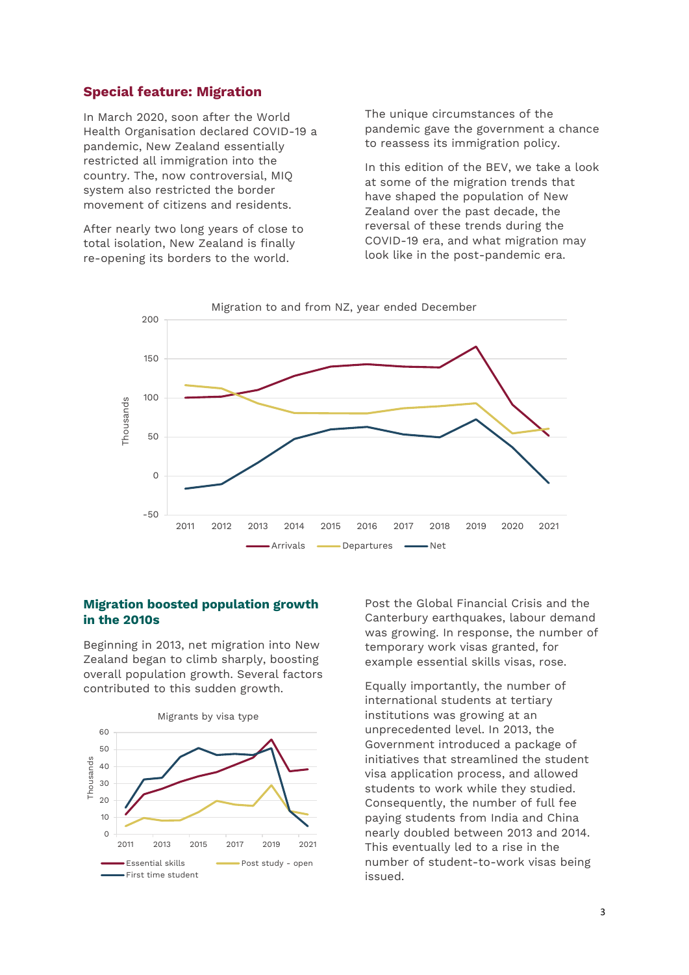#### **Special feature: Migration**

In March 2020, soon after the World Health Organisation declared COVID-19 a pandemic, New Zealand essentially restricted all immigration into the country. The, now controversial, MIQ system also restricted the border movement of citizens and residents.

After nearly two long years of close to total isolation, New Zealand is finally re-opening its borders to the world.

The unique circumstances of the pandemic gave the government a chance to reassess its immigration policy.

In this edition of the BEV, we take a look at some of the migration trends that have shaped the population of New Zealand over the past decade, the reversal of these trends during the COVID-19 era, and what migration may look like in the post-pandemic era.



#### **Migration boosted population growth in the 2010s**

Beginning in 2013, net migration into New Zealand began to climb sharply, boosting overall population growth. Several factors contributed to this sudden growth.



Post the Global Financial Crisis and the Canterbury earthquakes, labour demand was growing. In response, the number of temporary work visas granted, for example essential skills visas, rose.

Equally importantly, the number of international students at tertiary institutions was growing at an unprecedented level. In 2013, the Government introduced a package of initiatives that streamlined the student visa application process, and allowed students to work while they studied. Consequently, the number of full fee paying students from India and China nearly doubled between 2013 and 2014. This eventually led to a rise in the number of student-to-work visas being issued.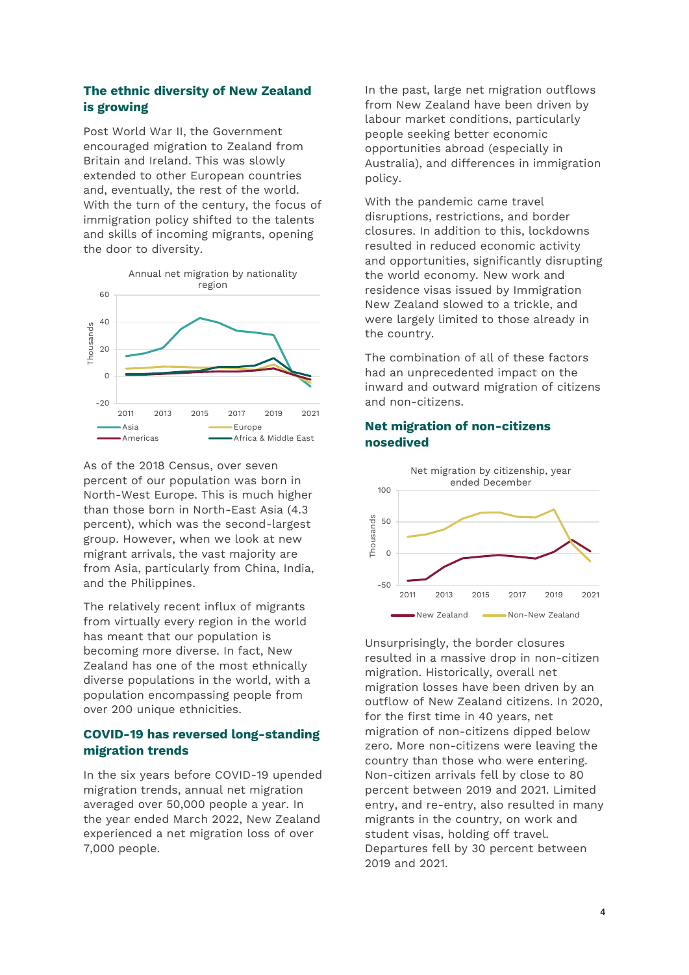#### **The ethnic diversity of New Zealand is growing**

Post World War II, the Government encouraged migration to Zealand from Britain and Ireland. This was slowly extended to other European countries and, eventually, the rest of the world. With the turn of the century, the focus of immigration policy shifted to the talents and skills of incoming migrants, opening the door to diversity.



As of the 2018 Census, over seven percent of our population was born in North-West Europe. This is much higher than those born in North-East Asia (4.3 percent), which was the second-largest group. However, when we look at new migrant arrivals, the vast majority are from Asia, particularly from China, India, and the Philippines.

The relatively recent influx of migrants from virtually every region in the world has meant that our population is becoming more diverse. In fact, New Zealand has one of the most ethnically diverse populations in the world, with a population encompassing people from over 200 unique ethnicities.

#### **COVID-19 has reversed long-standing migration trends**

In the six years before COVID-19 upended migration trends, annual net migration averaged over 50,000 people a year. In the year ended March 2022, New Zealand experienced a net migration loss of over 7,000 people.

In the past, large net migration outflows from New Zealand have been driven by labour market conditions, particularly people seeking better economic opportunities abroad (especially in Australia), and differences in immigration policy.

With the pandemic came travel disruptions, restrictions, and border closures. In addition to this, lockdowns resulted in reduced economic activity and opportunities, significantly disrupting the world economy. New work and residence visas issued by Immigration New Zealand slowed to a trickle, and were largely limited to those already in the country.

The combination of all of these factors had an unprecedented impact on the inward and outward migration of citizens and non-citizens.



Unsurprisingly, the border closures resulted in a massive drop in non-citizen migration. Historically, overall net migration losses have been driven by an outflow of New Zealand citizens. In 2020, for the first time in 40 years, net migration of non-citizens dipped below zero. More non-citizens were leaving the country than those who were entering. Non-citizen arrivals fell by close to 80 percent between 2019 and 2021. Limited entry, and re-entry, also resulted in many migrants in the country, on work and student visas, holding off travel. Departures fell by 30 percent between 2019 and 2021.

## **Net migration of non-citizens nosedived**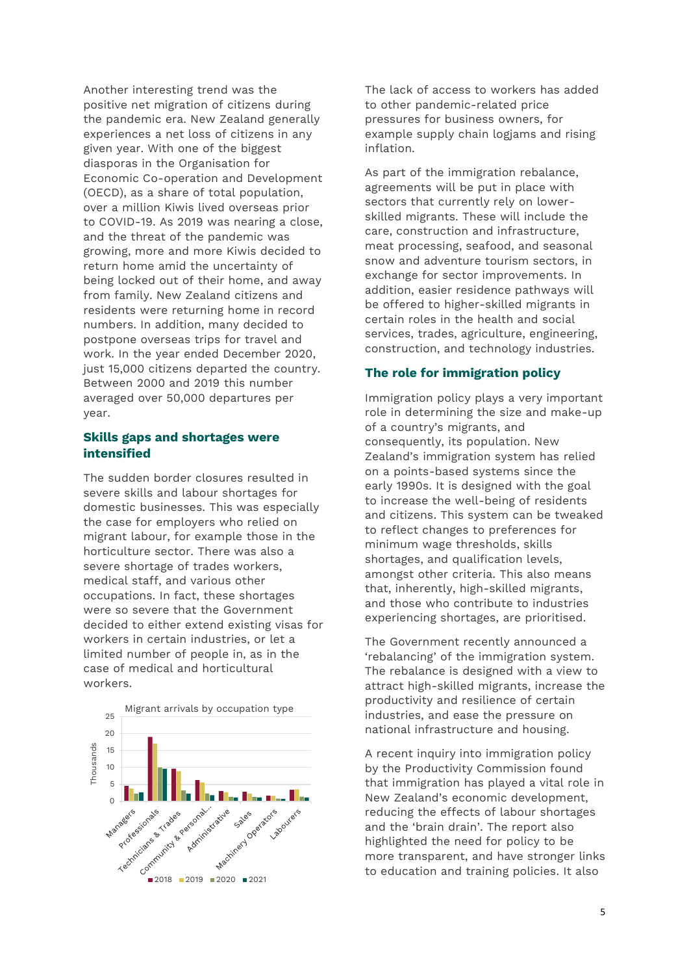Another interesting trend was the positive net migration of citizens during the pandemic era. New Zealand generally experiences a net loss of citizens in any given year. With one of the biggest diasporas in the Organisation for Economic Co-operation and Development (OECD), as a share of total population, over a million Kiwis lived overseas prior to COVID-19. As 2019 was nearing a close, and the threat of the pandemic was growing, more and more Kiwis decided to return home amid the uncertainty of being locked out of their home, and away from family. New Zealand citizens and residents were returning home in record numbers. In addition, many decided to postpone overseas trips for travel and work. In the year ended December 2020, just 15,000 citizens departed the country. Between 2000 and 2019 this number averaged over 50,000 departures per year.

#### **Skills gaps and shortages were intensified**

The sudden border closures resulted in severe skills and labour shortages for domestic businesses. This was especially the case for employers who relied on migrant labour, for example those in the horticulture sector. There was also a severe shortage of trades workers, medical staff, and various other occupations. In fact, these shortages were so severe that the Government decided to either extend existing visas for workers in certain industries, or let a limited number of people in, as in the case of medical and horticultural workers.



The lack of access to workers has added to other pandemic-related price pressures for business owners, for example supply chain logjams and rising inflation.

As part of the immigration rebalance, agreements will be put in place with sectors that currently rely on lowerskilled migrants. These will include the care, construction and infrastructure, meat processing, seafood, and seasonal snow and adventure tourism sectors, in exchange for sector improvements. In addition, easier residence pathways will be offered to higher-skilled migrants in certain roles in the health and social services, trades, agriculture, engineering, construction, and technology industries.

#### **The role for immigration policy**

Immigration policy plays a very important role in determining the size and make-up of a country's migrants, and consequently, its population. New Zealand's immigration system has relied on a points-based systems since the early 1990s. It is designed with the goal to increase the well-being of residents and citizens. This system can be tweaked to reflect changes to preferences for minimum wage thresholds, skills shortages, and qualification levels, amongst other criteria. This also means that, inherently, high-skilled migrants, and those who contribute to industries experiencing shortages, are prioritised.

The Government recently announced a 'rebalancing' of the immigration system. The rebalance is designed with a view to attract high-skilled migrants, increase the productivity and resilience of certain industries, and ease the pressure on national infrastructure and housing.

A recent inquiry into immigration policy by the Productivity Commission found that immigration has played a vital role in New Zealand's economic development, reducing the effects of labour shortages and the 'brain drain'. The report also highlighted the need for policy to be more transparent, and have stronger links to education and training policies. It also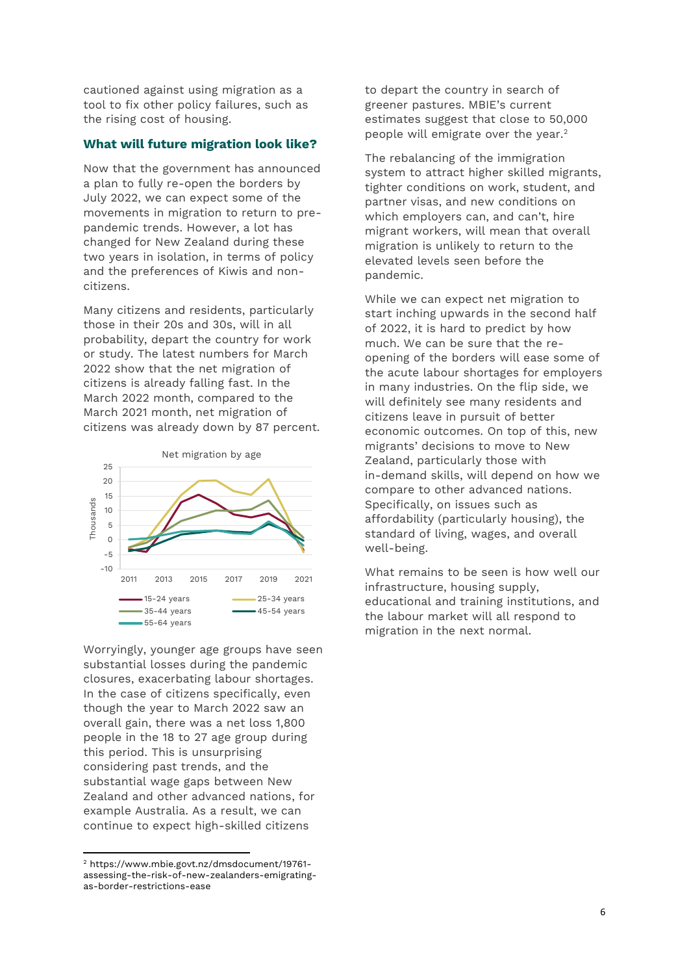cautioned against using migration as a tool to fix other policy failures, such as the rising cost of housing.

#### **What will future migration look like?**

Now that the government has announced a plan to fully re-open the borders by July 2022, we can expect some of the movements in migration to return to prepandemic trends. However, a lot has changed for New Zealand during these two years in isolation, in terms of policy and the preferences of Kiwis and noncitizens.

Many citizens and residents, particularly those in their 20s and 30s, will in all probability, depart the country for work or study. The latest numbers for March 2022 show that the net migration of citizens is already falling fast. In the March 2022 month, compared to the March 2021 month, net migration of citizens was already down by 87 percent.



Worryingly, younger age groups have seen substantial losses during the pandemic closures, exacerbating labour shortages. In the case of citizens specifically, even though the year to March 2022 saw an overall gain, there was a net loss 1,800 people in the 18 to 27 age group during this period. This is unsurprising considering past trends, and the substantial wage gaps between New Zealand and other advanced nations, for example Australia. As a result, we can continue to expect high-skilled citizens

 $\overline{\phantom{a}}$ 

to depart the country in search of greener pastures. MBIE's current estimates suggest that close to 50,000 people will emigrate over the year.<sup>2</sup>

The rebalancing of the immigration system to attract higher skilled migrants, tighter conditions on work, student, and partner visas, and new conditions on which employers can, and can't, hire migrant workers, will mean that overall migration is unlikely to return to the elevated levels seen before the pandemic.

While we can expect net migration to start inching upwards in the second half of 2022, it is hard to predict by how much. We can be sure that the reopening of the borders will ease some of the acute labour shortages for employers in many industries. On the flip side, we will definitely see many residents and citizens leave in pursuit of better economic outcomes. On top of this, new migrants' decisions to move to New Zealand, particularly those with in-demand skills, will depend on how we compare to other advanced nations. Specifically, on issues such as affordability (particularly housing), the standard of living, wages, and overall well-being.

What remains to be seen is how well our infrastructure, housing supply, educational and training institutions, and the labour market will all respond to migration in the next normal.

<sup>2</sup> https://www.mbie.govt.nz/dmsdocument/19761 assessing-the-risk-of-new-zealanders-emigratingas-border-restrictions-ease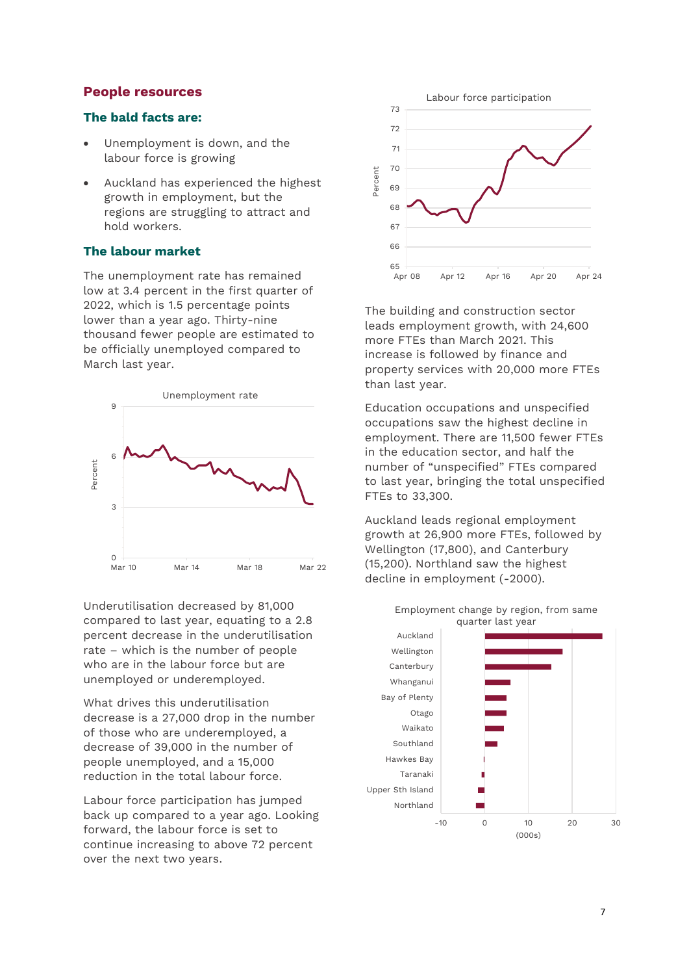#### **People resources**

#### **The bald facts are:**

- Unemployment is down, and the labour force is growing
- Auckland has experienced the highest growth in employment, but the regions are struggling to attract and hold workers.

#### **The labour market**

The unemployment rate has remained low at 3.4 percent in the first quarter of 2022, which is 1.5 percentage points lower than a year ago. Thirty-nine thousand fewer people are estimated to be officially unemployed compared to March last year.



Underutilisation decreased by 81,000 compared to last year, equating to a 2.8 percent decrease in the underutilisation rate – which is the number of people who are in the labour force but are unemployed or underemployed.

What drives this underutilisation decrease is a 27,000 drop in the number of those who are underemployed, a decrease of 39,000 in the number of people unemployed, and a 15,000 reduction in the total labour force.

Labour force participation has jumped back up compared to a year ago. Looking forward, the labour force is set to continue increasing to above 72 percent over the next two years.



The building and construction sector leads employment growth, with 24,600 more FTEs than March 2021. This increase is followed by finance and property services with 20,000 more FTEs than last year.

Education occupations and unspecified occupations saw the highest decline in employment. There are 11,500 fewer FTEs in the education sector, and half the number of "unspecified" FTEs compared to last year, bringing the total unspecified FTEs to 33,300.

Auckland leads regional employment growth at 26,900 more FTEs, followed by Wellington (17,800), and Canterbury (15,200). Northland saw the highest decline in employment (-2000).



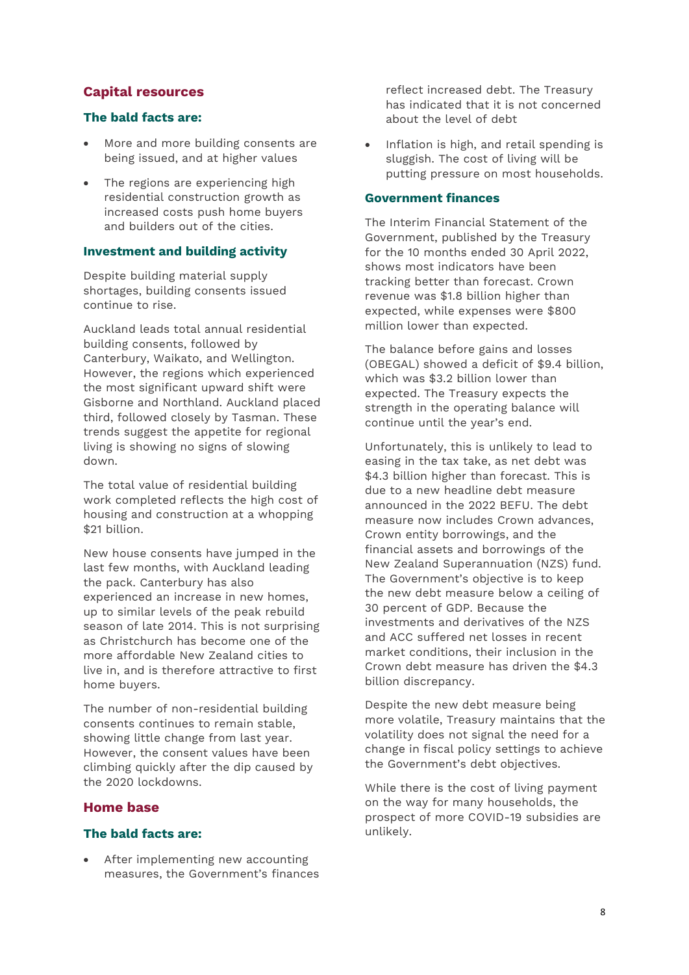## **Capital resources**

#### **The bald facts are:**

- More and more building consents are being issued, and at higher values
- The regions are experiencing high residential construction growth as increased costs push home buyers and builders out of the cities.

#### **Investment and building activity**

Despite building material supply shortages, building consents issued continue to rise.

Auckland leads total annual residential building consents, followed by Canterbury, Waikato, and Wellington. However, the regions which experienced the most significant upward shift were Gisborne and Northland. Auckland placed third, followed closely by Tasman. These trends suggest the appetite for regional living is showing no signs of slowing down.

The total value of residential building work completed reflects the high cost of housing and construction at a whopping \$21 billion.

New house consents have jumped in the last few months, with Auckland leading the pack. Canterbury has also experienced an increase in new homes, up to similar levels of the peak rebuild season of late 2014. This is not surprising as Christchurch has become one of the more affordable New Zealand cities to live in, and is therefore attractive to first home buyers.

The number of non-residential building consents continues to remain stable, showing little change from last year. However, the consent values have been climbing quickly after the dip caused by the 2020 lockdowns.

#### **Home base**

#### **The bald facts are:**

 After implementing new accounting measures, the Government's finances reflect increased debt. The Treasury has indicated that it is not concerned about the level of debt

• Inflation is high, and retail spending is sluggish. The cost of living will be putting pressure on most households.

#### **Government finances**

The Interim Financial Statement of the Government, published by the Treasury for the 10 months ended 30 April 2022, shows most indicators have been tracking better than forecast. Crown revenue was \$1.8 billion higher than expected, while expenses were \$800 million lower than expected.

The balance before gains and losses (OBEGAL) showed a deficit of \$9.4 billion, which was \$3.2 billion lower than expected. The Treasury expects the strength in the operating balance will continue until the year's end.

Unfortunately, this is unlikely to lead to easing in the tax take, as net debt was \$4.3 billion higher than forecast. This is due to a new headline debt measure announced in the 2022 BEFU. The debt measure now includes Crown advances, Crown entity borrowings, and the financial assets and borrowings of the New Zealand Superannuation (NZS) fund. The Government's objective is to keep the new debt measure below a ceiling of 30 percent of GDP. Because the investments and derivatives of the NZS and ACC suffered net losses in recent market conditions, their inclusion in the Crown debt measure has driven the \$4.3 billion discrepancy.

Despite the new debt measure being more volatile, Treasury maintains that the volatility does not signal the need for a change in fiscal policy settings to achieve the Government's debt objectives.

While there is the cost of living payment on the way for many households, the prospect of more COVID-19 subsidies are unlikely.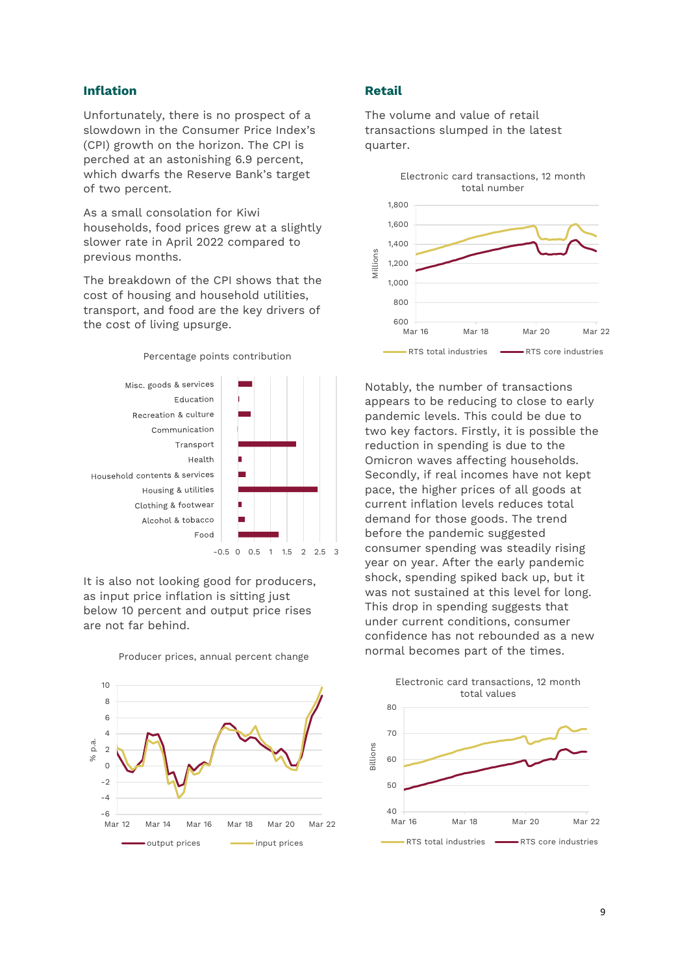#### **Inflation**

Unfortunately, there is no prospect of a slowdown in the Consumer Price Index's (CPI) growth on the horizon. The CPI is perched at an astonishing 6.9 percent, which dwarfs the Reserve Bank's target of two percent.

As a small consolation for Kiwi households, food prices grew at a slightly slower rate in April 2022 compared to previous months.

The breakdown of the CPI shows that the cost of housing and household utilities, transport, and food are the key drivers of the cost of living upsurge.

Percentage points contribution



It is also not looking good for producers, as input price inflation is sitting just below 10 percent and output price rises are not far behind.



Producer prices, annual percent change

#### **Retail**

The volume and value of retail transactions slumped in the latest quarter.



Notably, the number of transactions appears to be reducing to close to early pandemic levels. This could be due to two key factors. Firstly, it is possible the reduction in spending is due to the Omicron waves affecting households. Secondly, if real incomes have not kept pace, the higher prices of all goods at current inflation levels reduces total demand for those goods. The trend before the pandemic suggested consumer spending was steadily rising year on year. After the early pandemic shock, spending spiked back up, but it was not sustained at this level for long. This drop in spending suggests that under current conditions, consumer confidence has not rebounded as a new normal becomes part of the times.

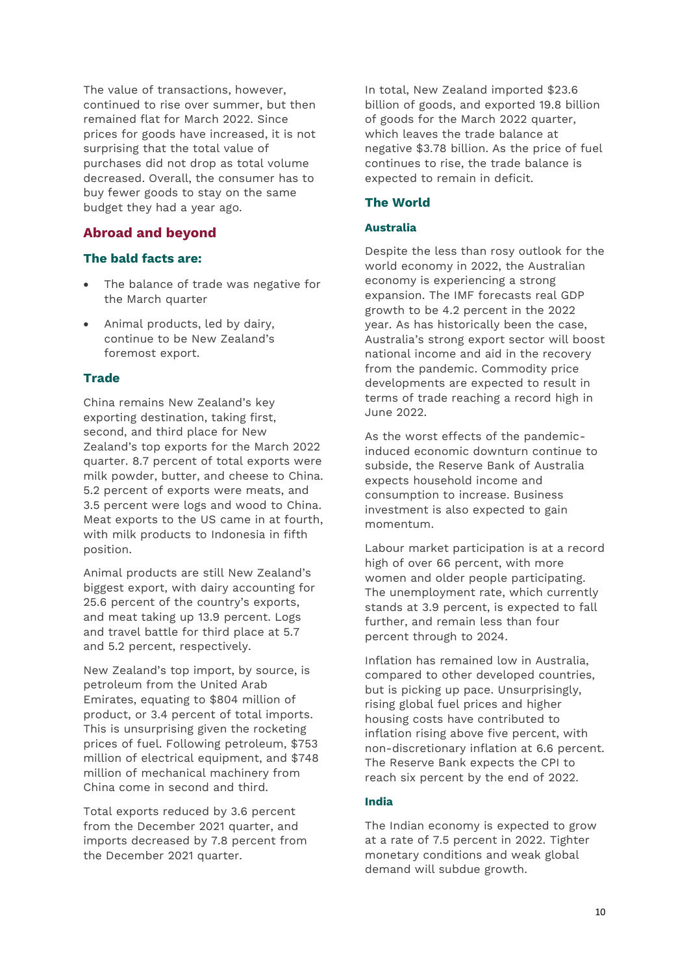The value of transactions, however, continued to rise over summer, but then remained flat for March 2022. Since prices for goods have increased, it is not surprising that the total value of purchases did not drop as total volume decreased. Overall, the consumer has to buy fewer goods to stay on the same budget they had a year ago.

## **Abroad and beyond**

#### **The bald facts are:**

- The balance of trade was negative for the March quarter
- Animal products, led by dairy, continue to be New Zealand's foremost export.

#### **Trade**

China remains New Zealand's key exporting destination, taking first, second, and third place for New Zealand's top exports for the March 2022 quarter. 8.7 percent of total exports were milk powder, butter, and cheese to China. 5.2 percent of exports were meats, and 3.5 percent were logs and wood to China. Meat exports to the US came in at fourth, with milk products to Indonesia in fifth position.

Animal products are still New Zealand's biggest export, with dairy accounting for 25.6 percent of the country's exports, and meat taking up 13.9 percent. Logs and travel battle for third place at 5.7 and 5.2 percent, respectively.

New Zealand's top import, by source, is petroleum from the United Arab Emirates, equating to \$804 million of product, or 3.4 percent of total imports. This is unsurprising given the rocketing prices of fuel. Following petroleum, \$753 million of electrical equipment, and \$748 million of mechanical machinery from China come in second and third.

Total exports reduced by 3.6 percent from the December 2021 quarter, and imports decreased by 7.8 percent from the December 2021 quarter.

In total, New Zealand imported \$23.6 billion of goods, and exported 19.8 billion of goods for the March 2022 quarter, which leaves the trade balance at negative \$3.78 billion. As the price of fuel continues to rise, the trade balance is expected to remain in deficit.

#### **The World**

#### **Australia**

Despite the less than rosy outlook for the world economy in 2022, the Australian economy is experiencing a strong expansion. The IMF forecasts real GDP growth to be 4.2 percent in the 2022 year. As has historically been the case, Australia's strong export sector will boost national income and aid in the recovery from the pandemic. Commodity price developments are expected to result in terms of trade reaching a record high in June 2022.

As the worst effects of the pandemicinduced economic downturn continue to subside, the Reserve Bank of Australia expects household income and consumption to increase. Business investment is also expected to gain momentum.

Labour market participation is at a record high of over 66 percent, with more women and older people participating. The unemployment rate, which currently stands at 3.9 percent, is expected to fall further, and remain less than four percent through to 2024.

Inflation has remained low in Australia, compared to other developed countries, but is picking up pace. Unsurprisingly, rising global fuel prices and higher housing costs have contributed to inflation rising above five percent, with non-discretionary inflation at 6.6 percent. The Reserve Bank expects the CPI to reach six percent by the end of 2022.

#### **India**

The Indian economy is expected to grow at a rate of 7.5 percent in 2022. Tighter monetary conditions and weak global demand will subdue growth.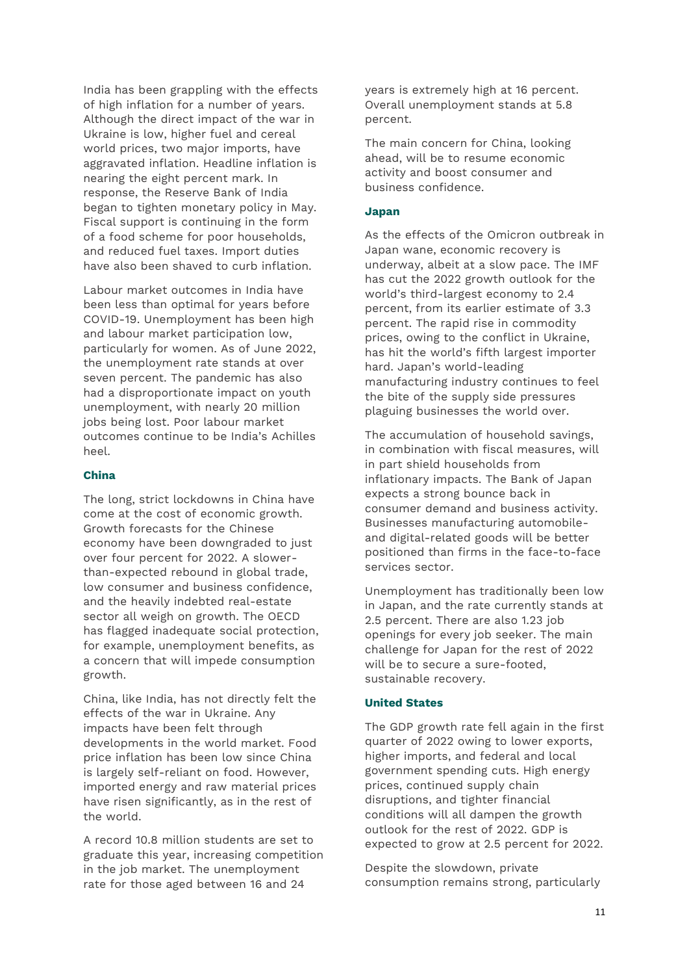India has been grappling with the effects of high inflation for a number of years. Although the direct impact of the war in Ukraine is low, higher fuel and cereal world prices, two major imports, have aggravated inflation. Headline inflation is nearing the eight percent mark. In response, the Reserve Bank of India began to tighten monetary policy in May. Fiscal support is continuing in the form of a food scheme for poor households, and reduced fuel taxes. Import duties have also been shaved to curb inflation.

Labour market outcomes in India have been less than optimal for years before COVID-19. Unemployment has been high and labour market participation low, particularly for women. As of June 2022, the unemployment rate stands at over seven percent. The pandemic has also had a disproportionate impact on youth unemployment, with nearly 20 million jobs being lost. Poor labour market outcomes continue to be India's Achilles heel.

#### **China**

The long, strict lockdowns in China have come at the cost of economic growth. Growth forecasts for the Chinese economy have been downgraded to just over four percent for 2022. A slowerthan-expected rebound in global trade, low consumer and business confidence, and the heavily indebted real-estate sector all weigh on growth. The OECD has flagged inadequate social protection, for example, unemployment benefits, as a concern that will impede consumption growth.

China, like India, has not directly felt the effects of the war in Ukraine. Any impacts have been felt through developments in the world market. Food price inflation has been low since China is largely self-reliant on food. However, imported energy and raw material prices have risen significantly, as in the rest of the world.

A record 10.8 million students are set to graduate this year, increasing competition in the job market. The unemployment rate for those aged between 16 and 24

years is extremely high at 16 percent. Overall unemployment stands at 5.8 percent.

The main concern for China, looking ahead, will be to resume economic activity and boost consumer and business confidence.

#### **Japan**

As the effects of the Omicron outbreak in Japan wane, economic recovery is underway, albeit at a slow pace. The IMF has cut the 2022 growth outlook for the world's third-largest economy to 2.4 percent, from its earlier estimate of 3.3 percent. The rapid rise in commodity prices, owing to the conflict in Ukraine, has hit the world's fifth largest importer hard. Japan's world-leading manufacturing industry continues to feel the bite of the supply side pressures plaguing businesses the world over.

The accumulation of household savings, in combination with fiscal measures, will in part shield households from inflationary impacts. The Bank of Japan expects a strong bounce back in consumer demand and business activity. Businesses manufacturing automobileand digital-related goods will be better positioned than firms in the face-to-face services sector.

Unemployment has traditionally been low in Japan, and the rate currently stands at 2.5 percent. There are also 1.23 job openings for every job seeker. The main challenge for Japan for the rest of 2022 will be to secure a sure-footed, sustainable recovery.

#### **United States**

The GDP growth rate fell again in the first quarter of 2022 owing to lower exports, higher imports, and federal and local government spending cuts. High energy prices, continued supply chain disruptions, and tighter financial conditions will all dampen the growth outlook for the rest of 2022. GDP is expected to grow at 2.5 percent for 2022.

Despite the slowdown, private consumption remains strong, particularly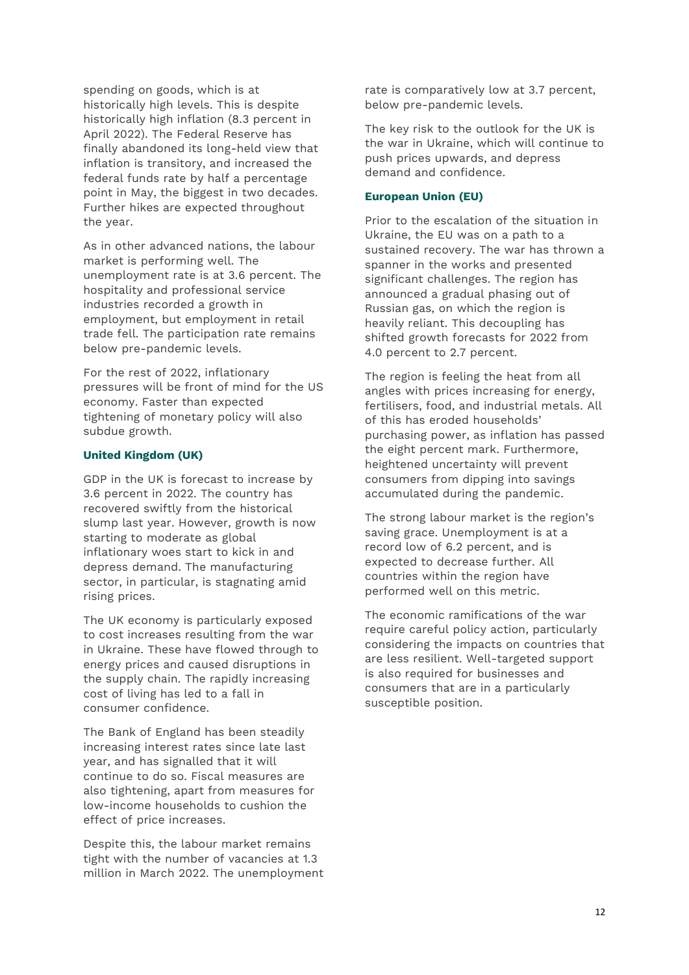spending on goods, which is at historically high levels. This is despite historically high inflation (8.3 percent in April 2022). The Federal Reserve has finally abandoned its long-held view that inflation is transitory, and increased the federal funds rate by half a percentage point in May, the biggest in two decades. Further hikes are expected throughout the year.

As in other advanced nations, the labour market is performing well. The unemployment rate is at 3.6 percent. The hospitality and professional service industries recorded a growth in employment, but employment in retail trade fell. The participation rate remains below pre-pandemic levels.

For the rest of 2022, inflationary pressures will be front of mind for the US economy. Faster than expected tightening of monetary policy will also subdue growth.

#### **United Kingdom (UK)**

GDP in the UK is forecast to increase by 3.6 percent in 2022. The country has recovered swiftly from the historical slump last year. However, growth is now starting to moderate as global inflationary woes start to kick in and depress demand. The manufacturing sector, in particular, is stagnating amid rising prices.

The UK economy is particularly exposed to cost increases resulting from the war in Ukraine. These have flowed through to energy prices and caused disruptions in the supply chain. The rapidly increasing cost of living has led to a fall in consumer confidence.

The Bank of England has been steadily increasing interest rates since late last year, and has signalled that it will continue to do so. Fiscal measures are also tightening, apart from measures for low-income households to cushion the effect of price increases.

Despite this, the labour market remains tight with the number of vacancies at 1.3 million in March 2022. The unemployment rate is comparatively low at 3.7 percent, below pre-pandemic levels.

The key risk to the outlook for the UK is the war in Ukraine, which will continue to push prices upwards, and depress demand and confidence.

#### **European Union (EU)**

Prior to the escalation of the situation in Ukraine, the EU was on a path to a sustained recovery. The war has thrown a spanner in the works and presented significant challenges. The region has announced a gradual phasing out of Russian gas, on which the region is heavily reliant. This decoupling has shifted growth forecasts for 2022 from 4.0 percent to 2.7 percent.

The region is feeling the heat from all angles with prices increasing for energy, fertilisers, food, and industrial metals. All of this has eroded households' purchasing power, as inflation has passed the eight percent mark. Furthermore, heightened uncertainty will prevent consumers from dipping into savings accumulated during the pandemic.

The strong labour market is the region's saving grace. Unemployment is at a record low of 6.2 percent, and is expected to decrease further. All countries within the region have performed well on this metric.

The economic ramifications of the war require careful policy action, particularly considering the impacts on countries that are less resilient. Well-targeted support is also required for businesses and consumers that are in a particularly susceptible position.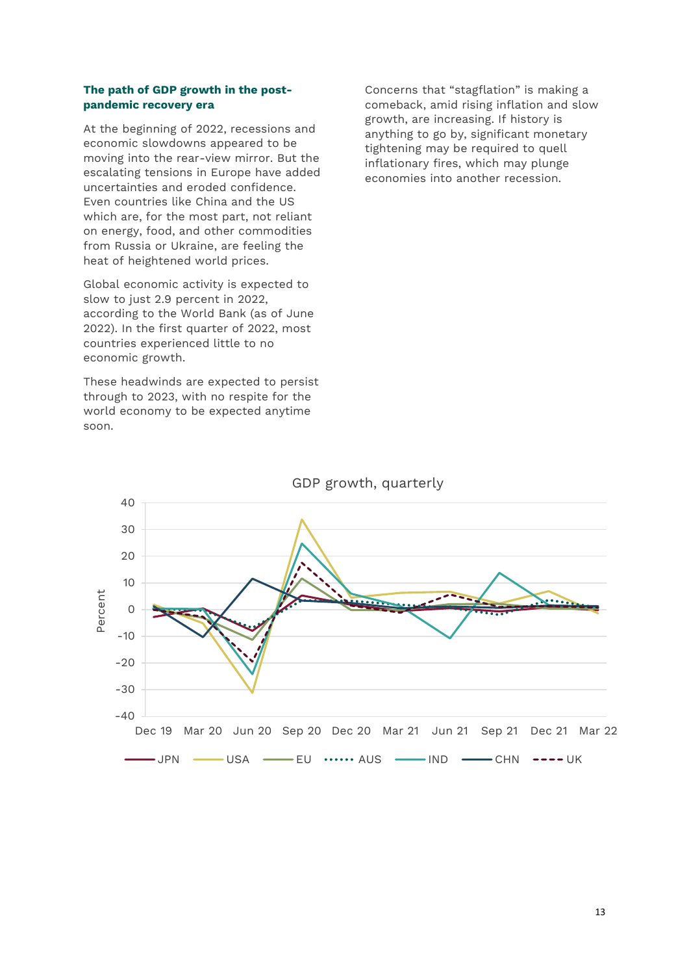#### **The path of GDP growth in the postpandemic recovery era**

At the beginning of 2022, recessions and economic slowdowns appeared to be moving into the rear-view mirror. But the escalating tensions in Europe have added uncertainties and eroded confidence. Even countries like China and the US which are, for the most part, not reliant on energy, food, and other commodities from Russia or Ukraine, are feeling the heat of heightened world prices.

Global economic activity is expected to slow to just 2.9 percent in 2022, according to the World Bank (as of June 2022). In the first quarter of 2022, most countries experienced little to no economic growth.

These headwinds are expected to persist through to 2023, with no respite for the world economy to be expected anytime soon.

Concerns that "stagflation" is making a comeback, amid rising inflation and slow growth, are increasing. If history is anything to go by, significant monetary tightening may be required to quell inflationary fires, which may plunge economies into another recession.



GDP growth, quarterly